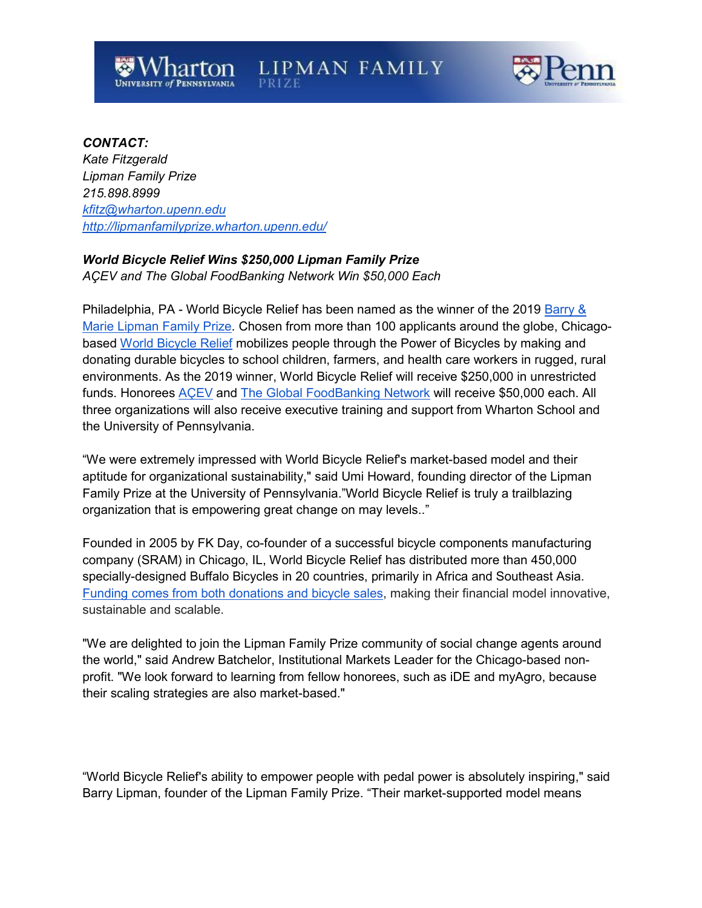

#### *CONTACT:*

*Kate Fitzgerald Lipman Family Prize 215.898.8999 [kfitz@wharton.upenn.edu](mailto:kfitz@wharton.upenn.edu) <http://lipmanfamilyprize.wharton.upenn.edu/>*

# *World Bicycle Relief Wins \$250,000 Lipman Family Prize*

*AÇEV and The Global FoodBanking Network Win \$50,000 Each*

Philadelphia, PA - World Bicycle Relief has been named as the winner of the 2019 [Barry &](http://lipmanfamilyprize.wharton.upenn.edu/)  [Marie Lipman Family Prize.](http://lipmanfamilyprize.wharton.upenn.edu/) Chosen from more than 100 applicants around the globe, Chicagobased [World Bicycle Relief](https://worldbicyclerelief.org/en/) mobilizes people through the Power of Bicycles by making and donating durable bicycles to school children, farmers, and health care workers in rugged, rural environments. As the 2019 winner, World Bicycle Relief will receive \$250,000 in unrestricted funds. Honorees **ACEV** and [The Global FoodBanking Network](https://www.foodbanking.org/) will receive \$50,000 each. All three organizations will also receive executive training and support from Wharton School and the University of Pennsylvania.

"We were extremely impressed with World Bicycle Relief's market-based model and their aptitude for organizational sustainability," said Umi Howard, founding director of the Lipman Family Prize at the University of Pennsylvania."World Bicycle Relief is truly a trailblazing organization that is empowering great change on may levels.."

Founded in 2005 by FK Day, co-founder of a successful bicycle components manufacturing company (SRAM) in Chicago, IL, World Bicycle Relief has distributed more than 450,000 specially-designed Buffalo Bicycles in 20 countries, primarily in Africa and Southeast Asia. [Funding comes from both donations and bicycle sales,](https://worldbicyclerelief.org/en/story/financials/) making their financial model innovative, sustainable and scalable.

"We are delighted to join the Lipman Family Prize community of social change agents around the world," said Andrew Batchelor, Institutional Markets Leader for the Chicago-based nonprofit. "We look forward to learning from fellow honorees, such as iDE and myAgro, because their scaling strategies are also market-based."

"World Bicycle Relief's ability to empower people with pedal power is absolutely inspiring," said Barry Lipman, founder of the Lipman Family Prize. "Their market-supported model means